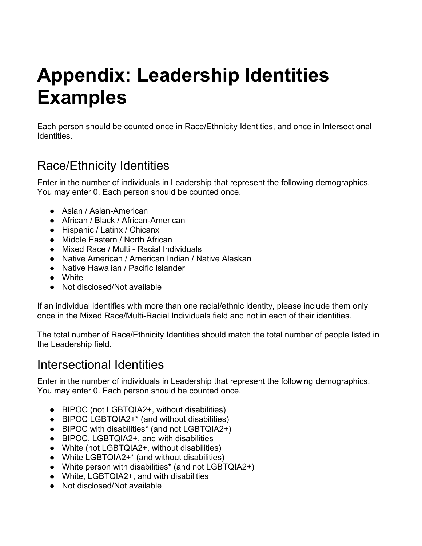# **Appendix: Leadership Identities Examples**

Each person should be counted once in Race/Ethnicity Identities, and once in Intersectional **Identities** 

### Race/Ethnicity Identities

Enter in the number of individuals in Leadership that represent the following demographics. You may enter 0. Each person should be counted once.

- Asian / Asian-American
- African / Black / African-American
- Hispanic / Latinx / Chicanx
- Middle Eastern / North African
- Mixed Race / Multi Racial Individuals
- Native American / American Indian / Native Alaskan
- Native Hawaiian / Pacific Islander
- White
- Not disclosed/Not available

If an individual identifies with more than one racial/ethnic identity, please include them only once in the Mixed Race/Multi-Racial Individuals field and not in each of their identities.

The total number of Race/Ethnicity Identities should match the total number of people listed in the Leadership field.

#### Intersectional Identities

Enter in the number of individuals in Leadership that represent the following demographics. You may enter 0. Each person should be counted once.

- BIPOC (not LGBTQIA2+, without disabilities)
- BIPOC LGBTQIA2+<sup>\*</sup> (and without disabilities)
- BIPOC with disabilities\* (and not LGBTQIA2+)
- BIPOC, LGBTQIA2+, and with disabilities
- White (not LGBTQIA2+, without disabilities)
- White LGBTQIA2+\* (and without disabilities)
- White person with disabilities\* (and not LGBTQIA2+)
- White, LGBTQIA2+, and with disabilities
- Not disclosed/Not available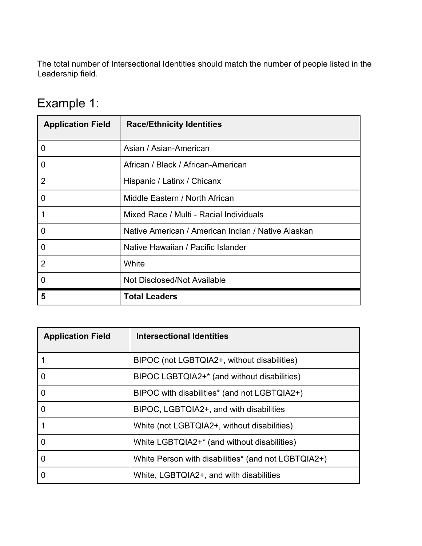The total number of Intersectional Identities should match the number of people listed in the Leadership field.

## Example 1:

| <b>Application Field</b> | <b>Race/Ethnicity Identities</b>                   |
|--------------------------|----------------------------------------------------|
| $\overline{0}$           | Asian / Asian-American                             |
| $\overline{0}$           | African / Black / African-American                 |
| $\overline{2}$           | Hispanic / Latinx / Chicanx                        |
| $\overline{0}$           | Middle Eastern / North African                     |
| 1                        | Mixed Race / Multi - Racial Individuals            |
| $\overline{0}$           | Native American / American Indian / Native Alaskan |
| $\overline{0}$           | Native Hawaiian / Pacific Islander                 |
| $\overline{2}$           | White                                              |
| $\overline{0}$           | <b>Not Disclosed/Not Available</b>                 |
| 5                        | <b>Total Leaders</b>                               |

| <b>Application Field</b> | <b>Intersectional Identities</b>                    |
|--------------------------|-----------------------------------------------------|
|                          | BIPOC (not LGBTQIA2+, without disabilities)         |
| $\overline{0}$           | BIPOC LGBTQIA2+* (and without disabilities)         |
| $\overline{0}$           | BIPOC with disabilities* (and not LGBTQIA2+)        |
| $\overline{0}$           | BIPOC, LGBTQIA2+, and with disabilities             |
|                          | White (not LGBTQIA2+, without disabilities)         |
| $\overline{0}$           | White LGBTQIA2+* (and without disabilities)         |
| $\overline{0}$           | White Person with disabilities* (and not LGBTQIA2+) |
|                          | White, LGBTQIA2+, and with disabilities             |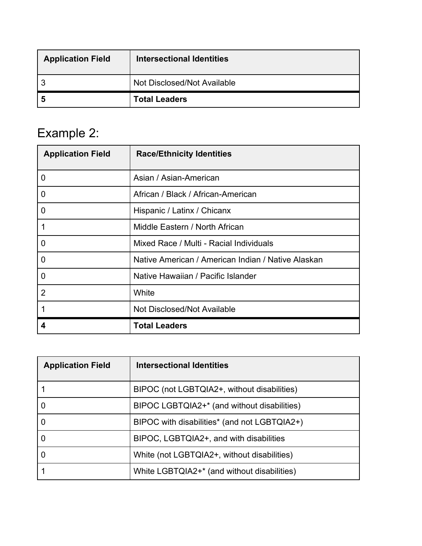| <b>Application Field</b> | Intersectional Identities   |
|--------------------------|-----------------------------|
| ാ                        | Not Disclosed/Not Available |
| -5                       | <b>Total Leaders</b>        |

# Example 2:

| <b>Application Field</b> | <b>Race/Ethnicity Identities</b>                   |
|--------------------------|----------------------------------------------------|
| $\overline{0}$           | Asian / Asian-American                             |
| $\overline{0}$           | African / Black / African-American                 |
| $\overline{0}$           | Hispanic / Latinx / Chicanx                        |
| $\overline{1}$           | Middle Eastern / North African                     |
| $\overline{0}$           | Mixed Race / Multi - Racial Individuals            |
| $\overline{0}$           | Native American / American Indian / Native Alaskan |
| $\mathbf 0$              | Native Hawaiian / Pacific Islander                 |
| $\overline{2}$           | White                                              |
| 1                        | Not Disclosed/Not Available                        |
| 4                        | <b>Total Leaders</b>                               |

| <b>Application Field</b> | <b>Intersectional Identities</b>             |
|--------------------------|----------------------------------------------|
|                          | BIPOC (not LGBTQIA2+, without disabilities)  |
|                          | BIPOC LGBTQIA2+* (and without disabilities)  |
| 0                        | BIPOC with disabilities* (and not LGBTQIA2+) |
| 0                        | BIPOC, LGBTQIA2+, and with disabilities      |
| 0                        | White (not LGBTQIA2+, without disabilities)  |
|                          | White LGBTQIA2+* (and without disabilities)  |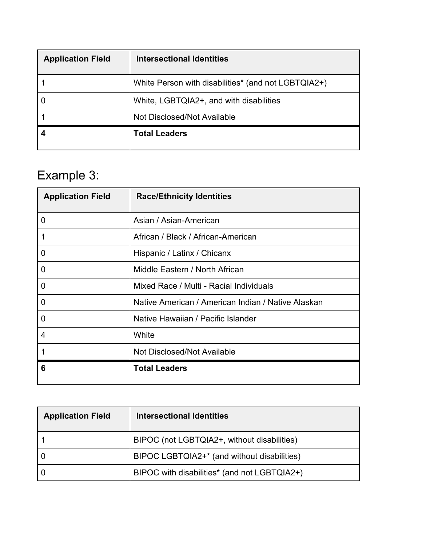| <b>Application Field</b> | Intersectional Identities                           |
|--------------------------|-----------------------------------------------------|
|                          | White Person with disabilities* (and not LGBTQIA2+) |
|                          | White, LGBTQIA2+, and with disabilities             |
|                          | Not Disclosed/Not Available                         |
|                          | <b>Total Leaders</b>                                |

# Example 3:

| <b>Application Field</b> | <b>Race/Ethnicity Identities</b>                   |
|--------------------------|----------------------------------------------------|
| $\overline{0}$           | Asian / Asian-American                             |
| 1                        | African / Black / African-American                 |
| $\mathbf 0$              | Hispanic / Latinx / Chicanx                        |
| $\mathbf 0$              | Middle Eastern / North African                     |
| $\overline{0}$           | Mixed Race / Multi - Racial Individuals            |
| $\overline{0}$           | Native American / American Indian / Native Alaskan |
| $\overline{0}$           | Native Hawaiian / Pacific Islander                 |
| 4                        | White                                              |
| 1                        | Not Disclosed/Not Available                        |
| 6                        | <b>Total Leaders</b>                               |

| <b>Application Field</b> | Intersectional Identities                    |
|--------------------------|----------------------------------------------|
|                          | BIPOC (not LGBTQIA2+, without disabilities)  |
|                          | BIPOC LGBTQIA2+* (and without disabilities)  |
|                          | BIPOC with disabilities* (and not LGBTQIA2+) |